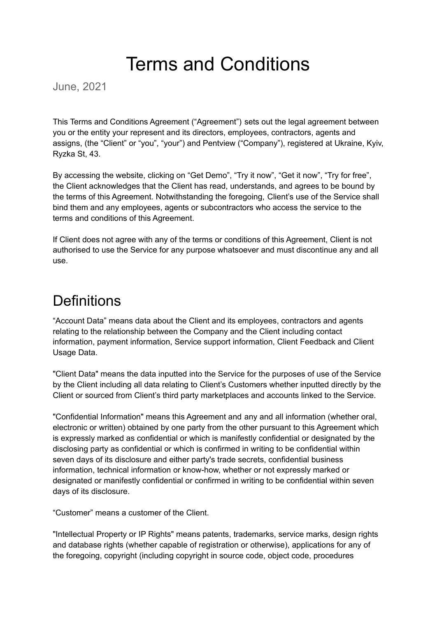# Terms and Conditions

June, 2021

This Terms and Conditions Agreement ("Agreement") sets out the legal agreement between you or the entity your represent and its directors, employees, contractors, agents and assigns, (the "Client" or "you", "your") and Pentview ("Company"), registered at Ukraine, Kyiv, Ryzka St, 43.

By accessing the website, clicking on "Get Demo", "Try it now", "Get it now", "Try for free", the Client acknowledges that the Client has read, understands, and agrees to be bound by the terms of this Agreement. Notwithstanding the foregoing, Client's use of the Service shall bind them and any employees, agents or subcontractors who access the service to the terms and conditions of this Agreement.

If Client does not agree with any of the terms or conditions of this Agreement, Client is not authorised to use the Service for any purpose whatsoever and must discontinue any and all use.

#### **Definitions**

"Account Data" means data about the Client and its employees, contractors and agents relating to the relationship between the Company and the Client including contact information, payment information, Service support information, Client Feedback and Client Usage Data.

"Client Data" means the data inputted into the Service for the purposes of use of the Service by the Client including all data relating to Client's Customers whether inputted directly by the Client or sourced from Client's third party marketplaces and accounts linked to the Service.

"Confidential Information" means this Agreement and any and all information (whether oral, electronic or written) obtained by one party from the other pursuant to this Agreement which is expressly marked as confidential or which is manifestly confidential or designated by the disclosing party as confidential or which is confirmed in writing to be confidential within seven days of its disclosure and either party's trade secrets, confidential business information, technical information or know-how, whether or not expressly marked or designated or manifestly confidential or confirmed in writing to be confidential within seven days of its disclosure.

"Customer" means a customer of the Client.

"Intellectual Property or IP Rights" means patents, trademarks, service marks, design rights and database rights (whether capable of registration or otherwise), applications for any of the foregoing, copyright (including copyright in source code, object code, procedures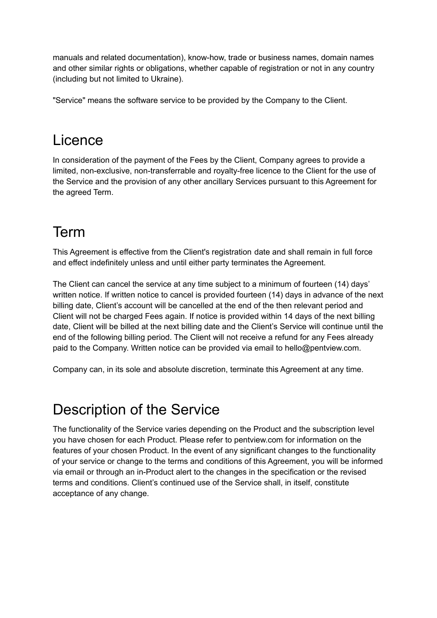manuals and related documentation), know-how, trade or business names, domain names and other similar rights or obligations, whether capable of registration or not in any country (including but not limited to Ukraine).

"Service" means the software service to be provided by the Company to the Client.

# Licence

In consideration of the payment of the Fees by the Client, Company agrees to provide a limited, non-exclusive, non-transferrable and royalty-free licence to the Client for the use of the Service and the provision of any other ancillary Services pursuant to this Agreement for the agreed Term.

# Term

This Agreement is effective from the Client's registration date and shall remain in full force and effect indefinitely unless and until either party terminates the Agreement.

The Client can cancel the service at any time subject to a minimum of fourteen (14) days' written notice. If written notice to cancel is provided fourteen (14) days in advance of the next billing date, Client's account will be cancelled at the end of the then relevant period and Client will not be charged Fees again. If notice is provided within 14 days of the next billing date, Client will be billed at the next billing date and the Client's Service will continue until the end of the following billing period. The Client will not receive a refund for any Fees already paid to the Company. Written notice can be provided via email to hello@pentview.com.

Company can, in its sole and absolute discretion, terminate this Agreement at any time.

### Description of the Service

The functionality of the Service varies depending on the Product and the subscription level you have chosen for each Product. Please refer to pentview.com for information on the features of your chosen Product. In the event of any significant changes to the functionality of your service or change to the terms and conditions of this Agreement, you will be informed via email or through an in-Product alert to the changes in the specification or the revised terms and conditions. Client's continued use of the Service shall, in itself, constitute acceptance of any change.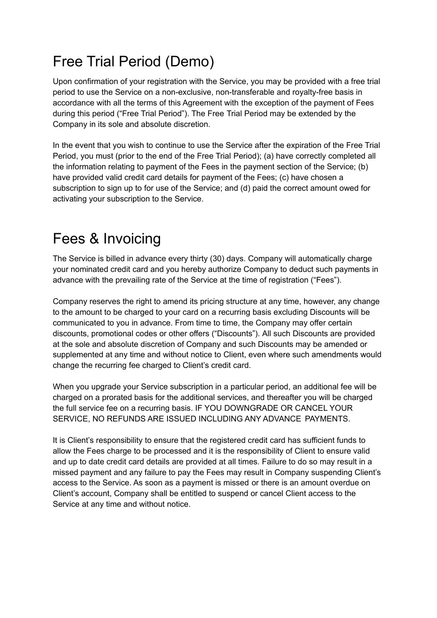# Free Trial Period (Demo)

Upon confirmation of your registration with the Service, you may be provided with a free trial period to use the Service on a non-exclusive, non-transferable and royalty-free basis in accordance with all the terms of this Agreement with the exception of the payment of Fees during this period ("Free Trial Period"). The Free Trial Period may be extended by the Company in its sole and absolute discretion.

In the event that you wish to continue to use the Service after the expiration of the Free Trial Period, you must (prior to the end of the Free Trial Period); (a) have correctly completed all the information relating to payment of the Fees in the payment section of the Service; (b) have provided valid credit card details for payment of the Fees; (c) have chosen a subscription to sign up to for use of the Service; and (d) paid the correct amount owed for activating your subscription to the Service.

### Fees & Invoicing

The Service is billed in advance every thirty (30) days. Company will automatically charge your nominated credit card and you hereby authorize Company to deduct such payments in advance with the prevailing rate of the Service at the time of registration ("Fees").

Company reserves the right to amend its pricing structure at any time, however, any change to the amount to be charged to your card on a recurring basis excluding Discounts will be communicated to you in advance. From time to time, the Company may offer certain discounts, promotional codes or other offers ("Discounts"). All such Discounts are provided at the sole and absolute discretion of Company and such Discounts may be amended or supplemented at any time and without notice to Client, even where such amendments would change the recurring fee charged to Client's credit card.

When you upgrade your Service subscription in a particular period, an additional fee will be charged on a prorated basis for the additional services, and thereafter you will be charged the full service fee on a recurring basis. IF YOU DOWNGRADE OR CANCEL YOUR SERVICE, NO REFUNDS ARE ISSUED INCLUDING ANY ADVANCE PAYMENTS.

It is Client's responsibility to ensure that the registered credit card has sufficient funds to allow the Fees charge to be processed and it is the responsibility of Client to ensure valid and up to date credit card details are provided at all times. Failure to do so may result in a missed payment and any failure to pay the Fees may result in Company suspending Client's access to the Service. As soon as a payment is missed or there is an amount overdue on Client's account, Company shall be entitled to suspend or cancel Client access to the Service at any time and without notice.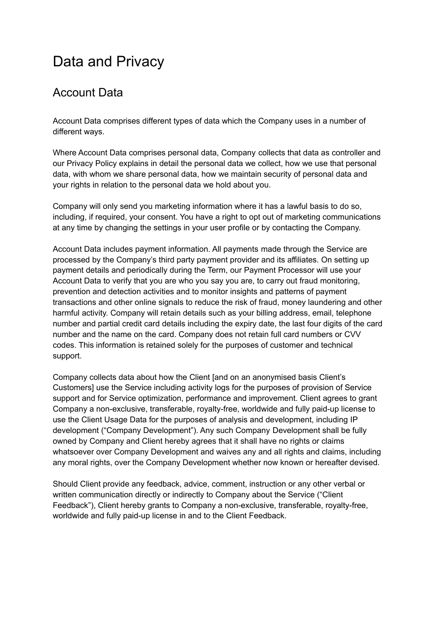# Data and Privacy

#### Account Data

Account Data comprises different types of data which the Company uses in a number of different ways.

Where Account Data comprises personal data, Company collects that data as controller and our Privacy Policy explains in detail the personal data we collect, how we use that personal data, with whom we share personal data, how we maintain security of personal data and your rights in relation to the personal data we hold about you.

Company will only send you marketing information where it has a lawful basis to do so, including, if required, your consent. You have a right to opt out of marketing communications at any time by changing the settings in your user profile or by contacting the Company.

Account Data includes payment information. All payments made through the Service are processed by the Company's third party payment provider and its affiliates. On setting up payment details and periodically during the Term, our Payment Processor will use your Account Data to verify that you are who you say you are, to carry out fraud monitoring, prevention and detection activities and to monitor insights and patterns of payment transactions and other online signals to reduce the risk of fraud, money laundering and other harmful activity. Company will retain details such as your billing address, email, telephone number and partial credit card details including the expiry date, the last four digits of the card number and the name on the card. Company does not retain full card numbers or CVV codes. This information is retained solely for the purposes of customer and technical support.

Company collects data about how the Client [and on an anonymised basis Client's Customers] use the Service including activity logs for the purposes of provision of Service support and for Service optimization, performance and improvement. Client agrees to grant Company a non-exclusive, transferable, royalty-free, worldwide and fully paid-up license to use the Client Usage Data for the purposes of analysis and development, including IP development ("Company Development"). Any such Company Development shall be fully owned by Company and Client hereby agrees that it shall have no rights or claims whatsoever over Company Development and waives any and all rights and claims, including any moral rights, over the Company Development whether now known or hereafter devised.

Should Client provide any feedback, advice, comment, instruction or any other verbal or written communication directly or indirectly to Company about the Service ("Client Feedback"), Client hereby grants to Company a non-exclusive, transferable, royalty-free, worldwide and fully paid-up license in and to the Client Feedback.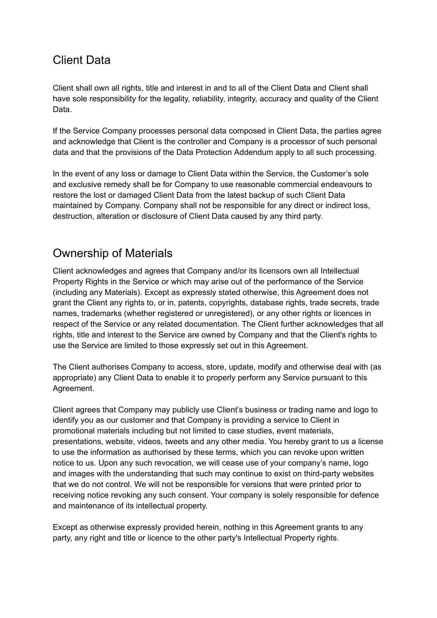#### Client Data

Client shall own all rights, title and interest in and to all of the Client Data and Client shall have sole responsibility for the legality, reliability, integrity, accuracy and quality of the Client Data.

If the Service Company processes personal data composed in Client Data, the parties agree and acknowledge that Client is the controller and Company is a processor of such personal data and that the provisions of the Data Protection Addendum apply to all such processing.

In the event of any loss or damage to Client Data within the Service, the Customer's sole and exclusive remedy shall be for Company to use reasonable commercial endeavours to restore the lost or damaged Client Data from the latest backup of such Client Data maintained by Company. Company shall not be responsible for any direct or indirect loss, destruction, alteration or disclosure of Client Data caused by any third party.

#### Ownership of Materials

Client acknowledges and agrees that Company and/or its licensors own all Intellectual Property Rights in the Service or which may arise out of the performance of the Service (including any Materials). Except as expressly stated otherwise, this Agreement does not grant the Client any rights to, or in, patents, copyrights, database rights, trade secrets, trade names, trademarks (whether registered or unregistered), or any other rights or licences in respect of the Service or any related documentation. The Client further acknowledges that all rights, title and interest to the Service are owned by Company and that the Client's rights to use the Service are limited to those expressly set out in this Agreement.

The Client authorises Company to access, store, update, modify and otherwise deal with (as appropriate) any Client Data to enable it to properly perform any Service pursuant to this Agreement.

Client agrees that Company may publicly use Client's business or trading name and logo to identify you as our customer and that Company is providing a service to Client in promotional materials including but not limited to case studies, event materials, presentations, website, videos, tweets and any other media. You hereby grant to us a license to use the information as authorised by these terms, which you can revoke upon written notice to us. Upon any such revocation, we will cease use of your company's name, logo and images with the understanding that such may continue to exist on third-party websites that we do not control. We will not be responsible for versions that were printed prior to receiving notice revoking any such consent. Your company is solely responsible for defence and maintenance of its intellectual property.

Except as otherwise expressly provided herein, nothing in this Agreement grants to any party, any right and title or licence to the other party's Intellectual Property rights.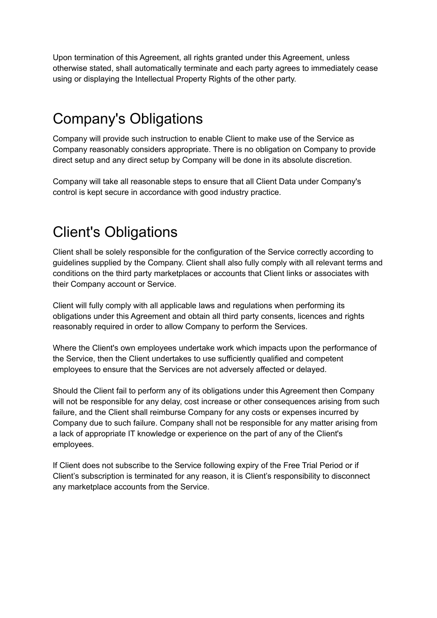Upon termination of this Agreement, all rights granted under this Agreement, unless otherwise stated, shall automatically terminate and each party agrees to immediately cease using or displaying the Intellectual Property Rights of the other party.

### Company's Obligations

Company will provide such instruction to enable Client to make use of the Service as Company reasonably considers appropriate. There is no obligation on Company to provide direct setup and any direct setup by Company will be done in its absolute discretion.

Company will take all reasonable steps to ensure that all Client Data under Company's control is kept secure in accordance with good industry practice.

# Client's Obligations

Client shall be solely responsible for the configuration of the Service correctly according to guidelines supplied by the Company. Client shall also fully comply with all relevant terms and conditions on the third party marketplaces or accounts that Client links or associates with their Company account or Service.

Client will fully comply with all applicable laws and regulations when performing its obligations under this Agreement and obtain all third party consents, licences and rights reasonably required in order to allow Company to perform the Services.

Where the Client's own employees undertake work which impacts upon the performance of the Service, then the Client undertakes to use sufficiently qualified and competent employees to ensure that the Services are not adversely affected or delayed.

Should the Client fail to perform any of its obligations under this Agreement then Company will not be responsible for any delay, cost increase or other consequences arising from such failure, and the Client shall reimburse Company for any costs or expenses incurred by Company due to such failure. Company shall not be responsible for any matter arising from a lack of appropriate IT knowledge or experience on the part of any of the Client's employees.

If Client does not subscribe to the Service following expiry of the Free Trial Period or if Client's subscription is terminated for any reason, it is Client's responsibility to disconnect any marketplace accounts from the Service.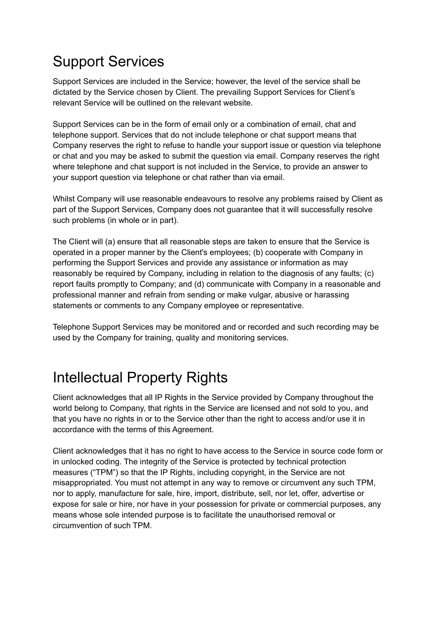# Support Services

Support Services are included in the Service; however, the level of the service shall be dictated by the Service chosen by Client. The prevailing Support Services for Client's relevant Service will be outlined on the relevant website.

Support Services can be in the form of email only or a combination of email, chat and telephone support. Services that do not include telephone or chat support means that Company reserves the right to refuse to handle your support issue or question via telephone or chat and you may be asked to submit the question via email. Company reserves the right where telephone and chat support is not included in the Service, to provide an answer to your support question via telephone or chat rather than via email.

Whilst Company will use reasonable endeavours to resolve any problems raised by Client as part of the Support Services, Company does not guarantee that it will successfully resolve such problems (in whole or in part).

The Client will (a) ensure that all reasonable steps are taken to ensure that the Service is operated in a proper manner by the Client's employees; (b) cooperate with Company in performing the Support Services and provide any assistance or information as may reasonably be required by Company, including in relation to the diagnosis of any faults; (c) report faults promptly to Company; and (d) communicate with Company in a reasonable and professional manner and refrain from sending or make vulgar, abusive or harassing statements or comments to any Company employee or representative.

Telephone Support Services may be monitored and or recorded and such recording may be used by the Company for training, quality and monitoring services.

### Intellectual Property Rights

Client acknowledges that all IP Rights in the Service provided by Company throughout the world belong to Company, that rights in the Service are licensed and not sold to you, and that you have no rights in or to the Service other than the right to access and/or use it in accordance with the terms of this Agreement.

Client acknowledges that it has no right to have access to the Service in source code form or in unlocked coding. The integrity of the Service is protected by technical protection measures ("TPM") so that the IP Rights, including copyright, in the Service are not misappropriated. You must not attempt in any way to remove or circumvent any such TPM, nor to apply, manufacture for sale, hire, import, distribute, sell, nor let, offer, advertise or expose for sale or hire, nor have in your possession for private or commercial purposes, any means whose sole intended purpose is to facilitate the unauthorised removal or circumvention of such TPM.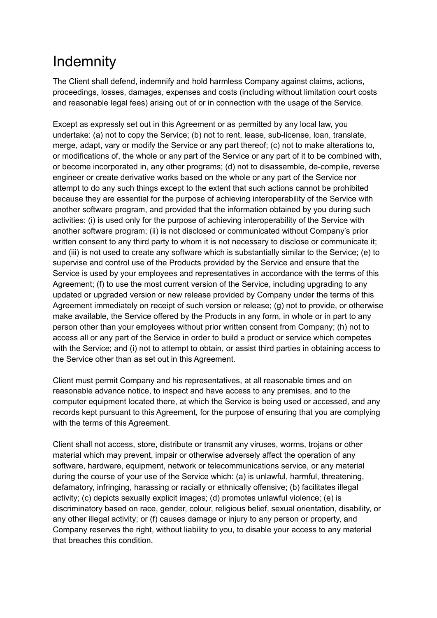### **Indemnity**

The Client shall defend, indemnify and hold harmless Company against claims, actions, proceedings, losses, damages, expenses and costs (including without limitation court costs and reasonable legal fees) arising out of or in connection with the usage of the Service.

Except as expressly set out in this Agreement or as permitted by any local law, you undertake: (a) not to copy the Service; (b) not to rent, lease, sub-license, loan, translate, merge, adapt, vary or modify the Service or any part thereof; (c) not to make alterations to, or modifications of, the whole or any part of the Service or any part of it to be combined with, or become incorporated in, any other programs; (d) not to disassemble, de-compile, reverse engineer or create derivative works based on the whole or any part of the Service nor attempt to do any such things except to the extent that such actions cannot be prohibited because they are essential for the purpose of achieving interoperability of the Service with another software program, and provided that the information obtained by you during such activities: (i) is used only for the purpose of achieving interoperability of the Service with another software program; (ii) is not disclosed or communicated without Company's prior written consent to any third party to whom it is not necessary to disclose or communicate it; and (iii) is not used to create any software which is substantially similar to the Service; (e) to supervise and control use of the Products provided by the Service and ensure that the Service is used by your employees and representatives in accordance with the terms of this Agreement; (f) to use the most current version of the Service, including upgrading to any updated or upgraded version or new release provided by Company under the terms of this Agreement immediately on receipt of such version or release; (g) not to provide, or otherwise make available, the Service offered by the Products in any form, in whole or in part to any person other than your employees without prior written consent from Company; (h) not to access all or any part of the Service in order to build a product or service which competes with the Service; and (i) not to attempt to obtain, or assist third parties in obtaining access to the Service other than as set out in this Agreement.

Client must permit Company and his representatives, at all reasonable times and on reasonable advance notice, to inspect and have access to any premises, and to the computer equipment located there, at which the Service is being used or accessed, and any records kept pursuant to this Agreement, for the purpose of ensuring that you are complying with the terms of this Agreement.

Client shall not access, store, distribute or transmit any viruses, worms, trojans or other material which may prevent, impair or otherwise adversely affect the operation of any software, hardware, equipment, network or telecommunications service, or any material during the course of your use of the Service which: (a) is unlawful, harmful, threatening, defamatory, infringing, harassing or racially or ethnically offensive; (b) facilitates illegal activity; (c) depicts sexually explicit images; (d) promotes unlawful violence; (e) is discriminatory based on race, gender, colour, religious belief, sexual orientation, disability, or any other illegal activity; or (f) causes damage or injury to any person or property, and Company reserves the right, without liability to you, to disable your access to any material that breaches this condition.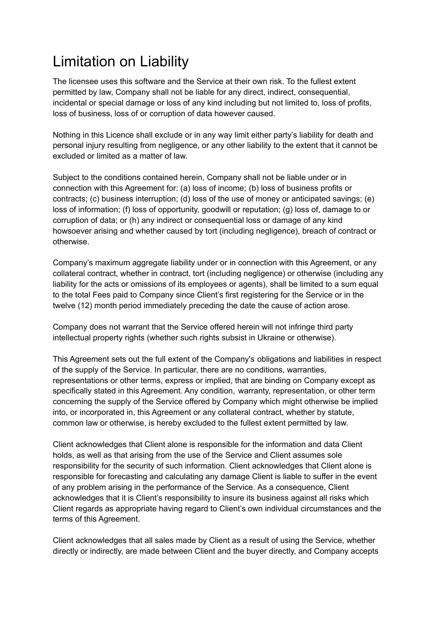# Limitation on Liability

The licensee uses this software and the Service at their own risk. To the fullest extent permitted by law, Company shall not be liable for any direct, indirect, consequential, incidental or special damage or loss of any kind including but not limited to, loss of profits, loss of business, loss of or corruption of data however caused.

Nothing in this Licence shall exclude or in any way limit either party's liability for death and personal injury resulting from negligence, or any other liability to the extent that it cannot be excluded or limited as a matter of law.

Subject to the conditions contained herein, Company shall not be liable under or in connection with this Agreement for: (a) loss of income; (b) loss of business profits or contracts; (c) business interruption; (d) loss of the use of money or anticipated savings; (e) loss of information; (f) loss of opportunity, goodwill or reputation; (g) loss of, damage to or corruption of data; or (h) any indirect or consequential loss or damage of any kind howsoever arising and whether caused by tort (including negligence), breach of contract or otherwise.

Company's maximum aggregate liability under or in connection with this Agreement, or any collateral contract, whether in contract, tort (including negligence) or otherwise (including any liability for the acts or omissions of its employees or agents), shall be limited to a sum equal to the total Fees paid to Company since Client's first registering for the Service or in the twelve (12) month period immediately preceding the date the cause of action arose.

Company does not warrant that the Service offered herein will not infringe third party intellectual property rights (whether such rights subsist in Ukraine or otherwise).

This Agreement sets out the full extent of the Company's obligations and liabilities in respect of the supply of the Service. In particular, there are no conditions, warranties, representations or other terms, express or implied, that are binding on Company except as specifically stated in this Agreement. Any condition, warranty, representation, or other term concerning the supply of the Service offered by Company which might otherwise be implied into, or incorporated in, this Agreement or any collateral contract, whether by statute, common law or otherwise, is hereby excluded to the fullest extent permitted by law.

Client acknowledges that Client alone is responsible for the information and data Client holds, as well as that arising from the use of the Service and Client assumes sole responsibility for the security of such information. Client acknowledges that Client alone is responsible for forecasting and calculating any damage Client is liable to suffer in the event of any problem arising in the performance of the Service. As a consequence, Client acknowledges that it is Client's responsibility to insure its business against all risks which Client regards as appropriate having regard to Client's own individual circumstances and the terms of this Agreement.

Client acknowledges that all sales made by Client as a result of using the Service, whether directly or indirectly, are made between Client and the buyer directly, and Company accepts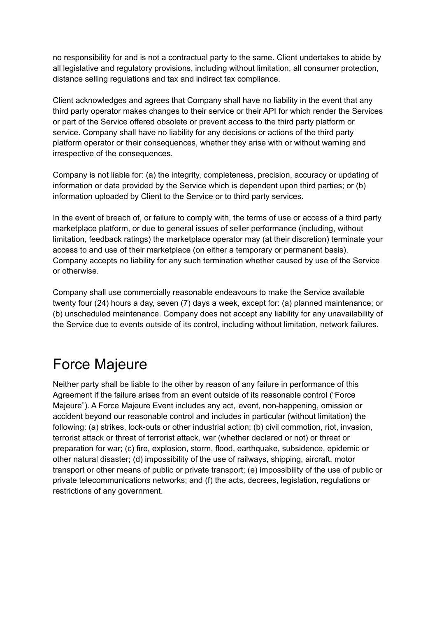no responsibility for and is not a contractual party to the same. Client undertakes to abide by all legislative and regulatory provisions, including without limitation, all consumer protection, distance selling regulations and tax and indirect tax compliance.

Client acknowledges and agrees that Company shall have no liability in the event that any third party operator makes changes to their service or their API for which render the Services or part of the Service offered obsolete or prevent access to the third party platform or service. Company shall have no liability for any decisions or actions of the third party platform operator or their consequences, whether they arise with or without warning and irrespective of the consequences.

Company is not liable for: (a) the integrity, completeness, precision, accuracy or updating of information or data provided by the Service which is dependent upon third parties; or (b) information uploaded by Client to the Service or to third party services.

In the event of breach of, or failure to comply with, the terms of use or access of a third party marketplace platform, or due to general issues of seller performance (including, without limitation, feedback ratings) the marketplace operator may (at their discretion) terminate your access to and use of their marketplace (on either a temporary or permanent basis). Company accepts no liability for any such termination whether caused by use of the Service or otherwise.

Company shall use commercially reasonable endeavours to make the Service available twenty four (24) hours a day, seven (7) days a week, except for: (a) planned maintenance; or (b) unscheduled maintenance. Company does not accept any liability for any unavailability of the Service due to events outside of its control, including without limitation, network failures.

### Force Majeure

Neither party shall be liable to the other by reason of any failure in performance of this Agreement if the failure arises from an event outside of its reasonable control ("Force Majeure"). A Force Majeure Event includes any act, event, non-happening, omission or accident beyond our reasonable control and includes in particular (without limitation) the following: (a) strikes, lock-outs or other industrial action; (b) civil commotion, riot, invasion, terrorist attack or threat of terrorist attack, war (whether declared or not) or threat or preparation for war; (c) fire, explosion, storm, flood, earthquake, subsidence, epidemic or other natural disaster; (d) impossibility of the use of railways, shipping, aircraft, motor transport or other means of public or private transport; (e) impossibility of the use of public or private telecommunications networks; and (f) the acts, decrees, legislation, regulations or restrictions of any government.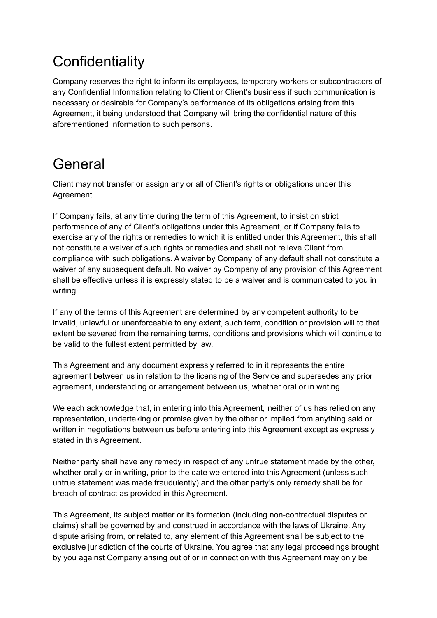# **Confidentiality**

Company reserves the right to inform its employees, temporary workers or subcontractors of any Confidential Information relating to Client or Client's business if such communication is necessary or desirable for Company's performance of its obligations arising from this Agreement, it being understood that Company will bring the confidential nature of this aforementioned information to such persons.

### General

Client may not transfer or assign any or all of Client's rights or obligations under this Agreement.

If Company fails, at any time during the term of this Agreement, to insist on strict performance of any of Client's obligations under this Agreement, or if Company fails to exercise any of the rights or remedies to which it is entitled under this Agreement, this shall not constitute a waiver of such rights or remedies and shall not relieve Client from compliance with such obligations. A waiver by Company of any default shall not constitute a waiver of any subsequent default. No waiver by Company of any provision of this Agreement shall be effective unless it is expressly stated to be a waiver and is communicated to you in writing.

If any of the terms of this Agreement are determined by any competent authority to be invalid, unlawful or unenforceable to any extent, such term, condition or provision will to that extent be severed from the remaining terms, conditions and provisions which will continue to be valid to the fullest extent permitted by law.

This Agreement and any document expressly referred to in it represents the entire agreement between us in relation to the licensing of the Service and supersedes any prior agreement, understanding or arrangement between us, whether oral or in writing.

We each acknowledge that, in entering into this Agreement, neither of us has relied on any representation, undertaking or promise given by the other or implied from anything said or written in negotiations between us before entering into this Agreement except as expressly stated in this Agreement.

Neither party shall have any remedy in respect of any untrue statement made by the other, whether orally or in writing, prior to the date we entered into this Agreement (unless such untrue statement was made fraudulently) and the other party's only remedy shall be for breach of contract as provided in this Agreement.

This Agreement, its subject matter or its formation (including non-contractual disputes or claims) shall be governed by and construed in accordance with the laws of Ukraine. Any dispute arising from, or related to, any element of this Agreement shall be subject to the exclusive jurisdiction of the courts of Ukraine. You agree that any legal proceedings brought by you against Company arising out of or in connection with this Agreement may only be